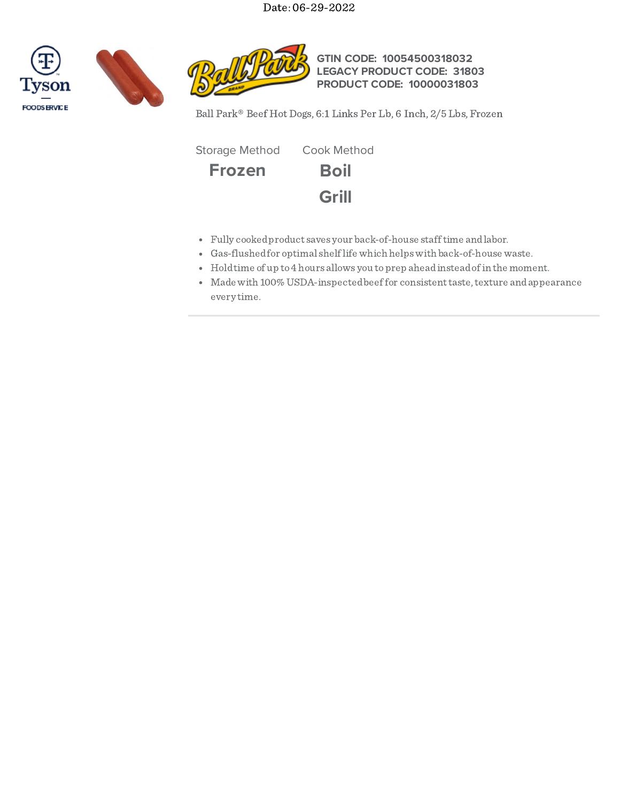Date: 06-29-2022







**GTIN CODE: 10054500318032 LEGACY PRODUCT CODE: 31803 PRODUCT CODE: 10000031803**

Ball Park® Beef Hot Dogs, 6:1 Links Per Lb, 6 Inch, 2/5 Lbs, Frozen

**Frozen Boil Grill** Storage Method Cook Method

- Fully cookedproduct saves your back-of-house stafftime andlabor.
- Gas-flushedfor optimal shelflife which helpswith back-of-house waste.
- Holdtime of up to4 hours allows you toprep aheadinsteadofin the moment.
- Made with 100% USDA-inspected beef for consistent taste, texture and appearance every time.